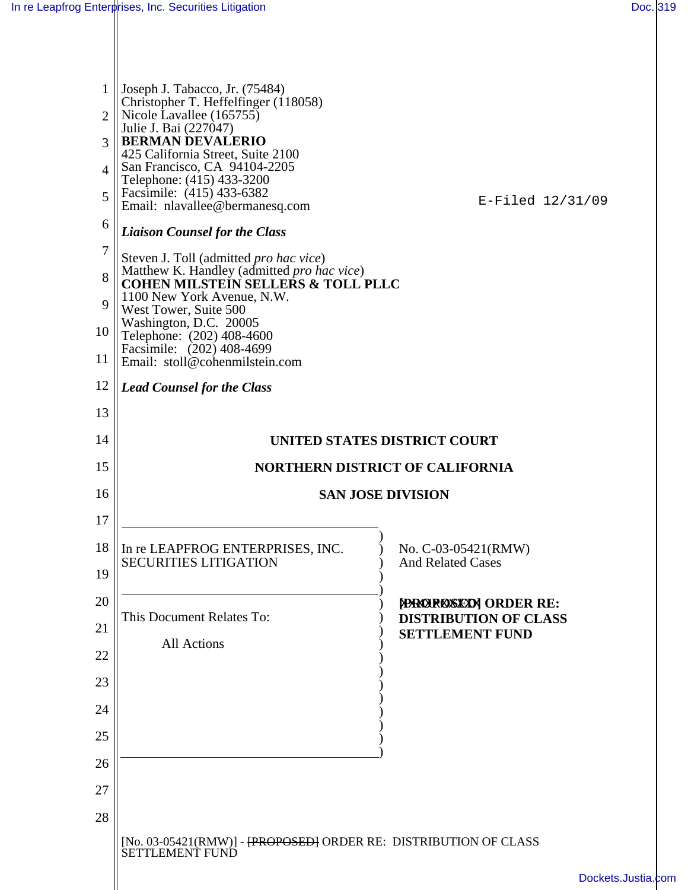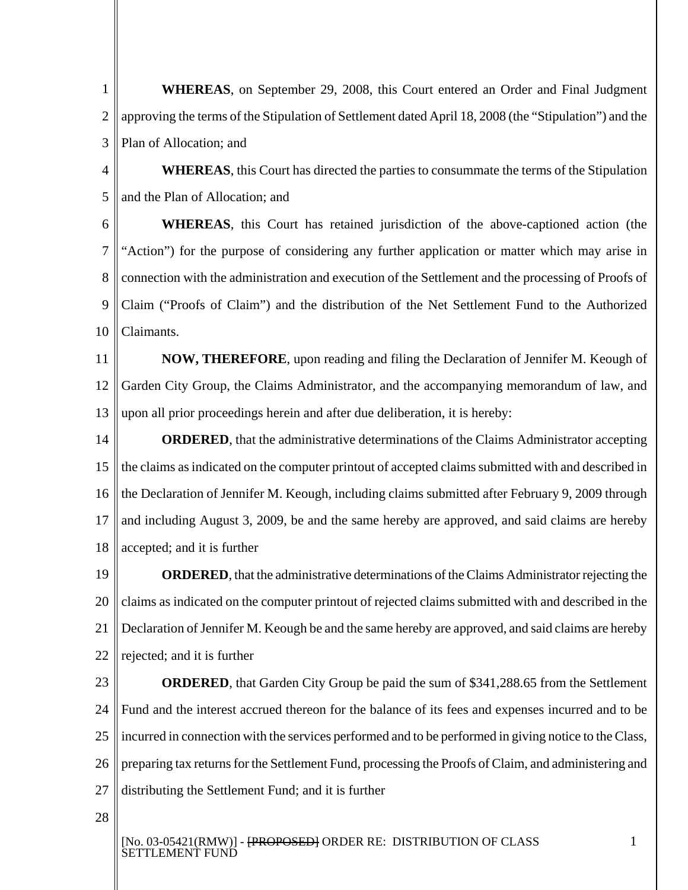**WHEREAS**, on September 29, 2008, this Court entered an Order and Final Judgment approving the terms of the Stipulation of Settlement dated April 18, 2008 (the "Stipulation") and the Plan of Allocation; and 1 2 3 4 5 6 7 8 9 10 11 12 13 14 15 16 17 18 19 20 21 22 23 24 25 26 27 28 **WHEREAS**, this Court has directed the parties to consummate the terms of the Stipulation and the Plan of Allocation; and **WHEREAS**, this Court has retained jurisdiction of the above-captioned action (the "Action") for the purpose of considering any further application or matter which may arise in connection with the administration and execution of the Settlement and the processing of Proofs of Claim ("Proofs of Claim") and the distribution of the Net Settlement Fund to the Authorized Claimants. **NOW, THEREFORE**, upon reading and filing the Declaration of Jennifer M. Keough of Garden City Group, the Claims Administrator, and the accompanying memorandum of law, and upon all prior proceedings herein and after due deliberation, it is hereby: **ORDERED**, that the administrative determinations of the Claims Administrator accepting the claims as indicated on the computer printout of accepted claims submitted with and described in the Declaration of Jennifer M. Keough, including claims submitted after February 9, 2009 through and including August 3, 2009, be and the same hereby are approved, and said claims are hereby accepted; and it is further **ORDERED**, that the administrative determinations of the Claims Administrator rejecting the claims as indicated on the computer printout of rejected claims submitted with and described in the Declaration of Jennifer M. Keough be and the same hereby are approved, and said claims are hereby rejected; and it is further **ORDERED**, that Garden City Group be paid the sum of \$341,288.65 from the Settlement Fund and the interest accrued thereon for the balance of its fees and expenses incurred and to be incurred in connection with the services performed and to be performed in giving notice to the Class, preparing tax returns for the Settlement Fund, processing the Proofs of Claim, and administering and distributing the Settlement Fund; and it is further [No. 03-05421(RMW)] - <del>[PROPOSED]</del> ORDER RE: DISTRIBUTION OF CLASS 1

SETTLEMENT FUND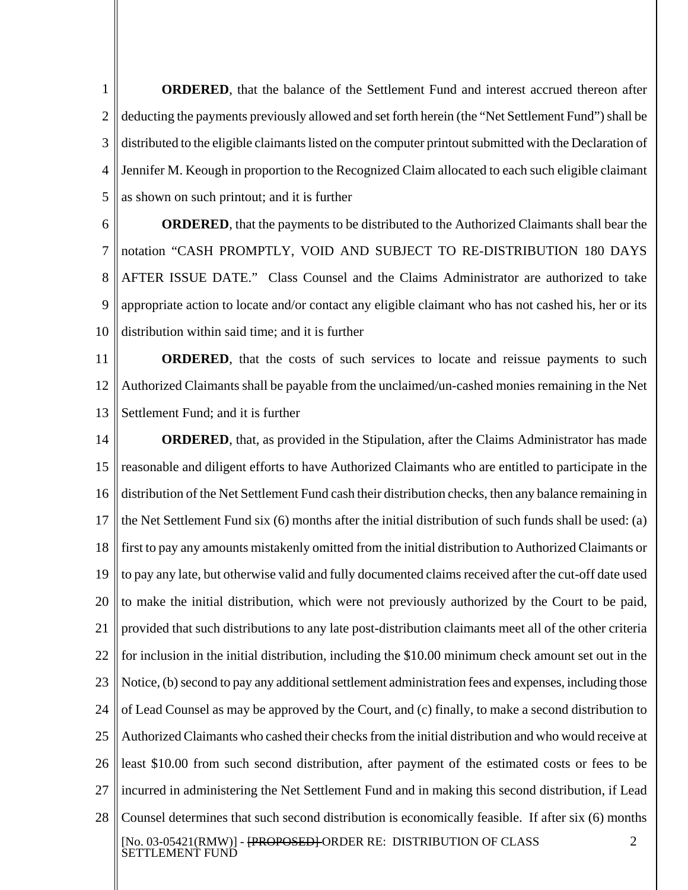**ORDERED**, that the balance of the Settlement Fund and interest accrued thereon after deducting the payments previously allowed and set forth herein (the "Net Settlement Fund") shall be distributed to the eligible claimants listed on the computer printout submitted with the Declaration of Jennifer M. Keough in proportion to the Recognized Claim allocated to each such eligible claimant as shown on such printout; and it is further 1 2 3 4 5

6

7 8 9 10 **ORDERED**, that the payments to be distributed to the Authorized Claimants shall bear the notation "CASH PROMPTLY, VOID AND SUBJECT TO RE-DISTRIBUTION 180 DAYS AFTER ISSUE DATE." Class Counsel and the Claims Administrator are authorized to take appropriate action to locate and/or contact any eligible claimant who has not cashed his, her or its distribution within said time; and it is further

11 12 13 **ORDERED**, that the costs of such services to locate and reissue payments to such Authorized Claimants shall be payable from the unclaimed/un-cashed monies remaining in the Net Settlement Fund; and it is further

14 15 16 17 18 19 20 21 22 23 24 25 26 27 28 **ORDERED**, that, as provided in the Stipulation, after the Claims Administrator has made reasonable and diligent efforts to have Authorized Claimants who are entitled to participate in the distribution of the Net Settlement Fund cash their distribution checks, then any balance remaining in the Net Settlement Fund six (6) months after the initial distribution of such funds shall be used: (a) first to pay any amounts mistakenly omitted from the initial distribution to Authorized Claimants or to pay any late, but otherwise valid and fully documented claims received after the cut-off date used to make the initial distribution, which were not previously authorized by the Court to be paid, provided that such distributions to any late post-distribution claimants meet all of the other criteria for inclusion in the initial distribution, including the \$10.00 minimum check amount set out in the Notice, (b) second to pay any additional settlement administration fees and expenses, including those of Lead Counsel as may be approved by the Court, and (c) finally, to make a second distribution to Authorized Claimants who cashed their checks from the initial distribution and who would receive at least \$10.00 from such second distribution, after payment of the estimated costs or fees to be incurred in administering the Net Settlement Fund and in making this second distribution, if Lead Counsel determines that such second distribution is economically feasible. If after six (6) months [No. 03-05421(RMW)] - <del>[PROPOSED]</del> ORDER RE: DISTRIBUTION OF CLASS SETTLEMENT FUND 2